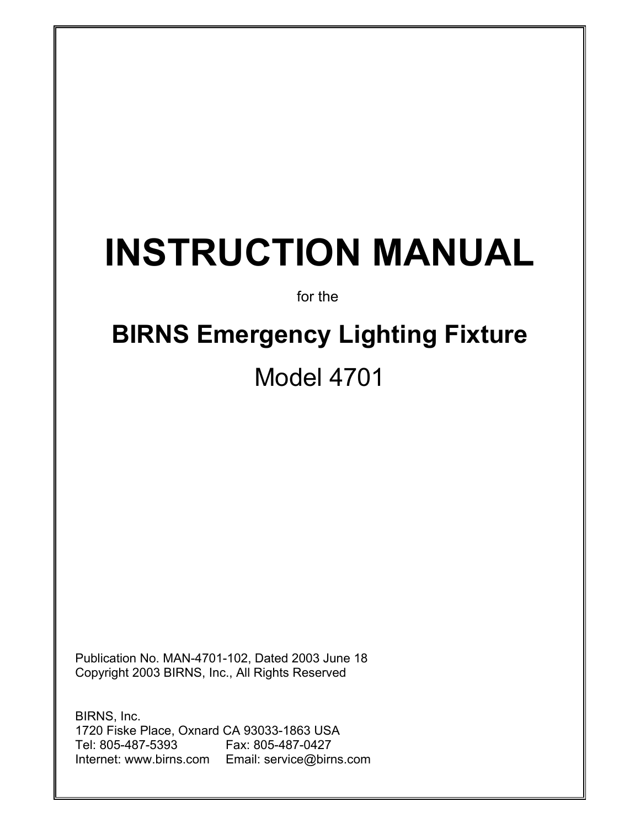# **INSTRUCTION MANUAL**

for the

# **BIRNS Emergency Lighting Fixture** Model 4701

Publication No. MAN-4701-102, Dated 2003 June 18 Copyright 2003 BIRNS, Inc., All Rights Reserved

BIRNS, Inc. 1720 Fiske Place, Oxnard CA 93033-1863 USA Tel: 805-487-5393 Fax: 805-487-0427 Internet: www.birns.com Email: service@birns.com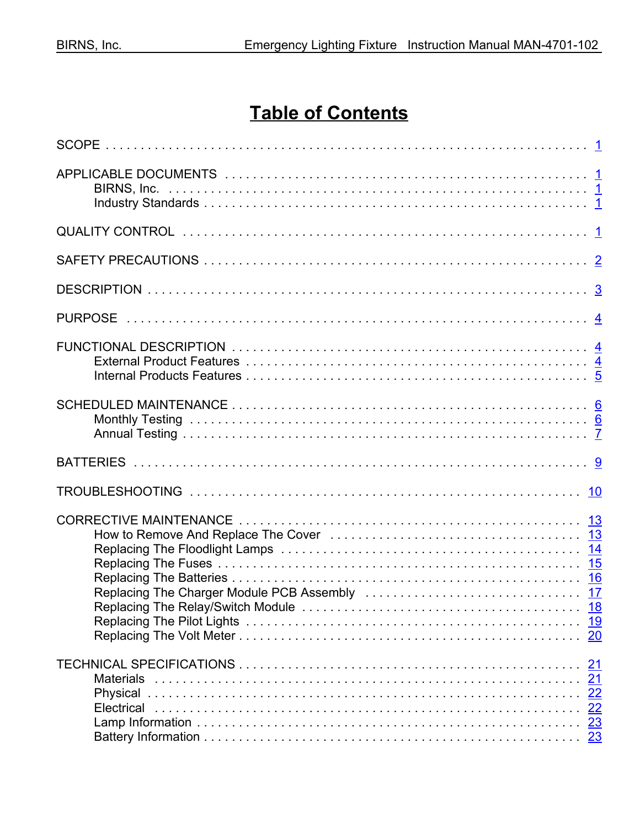### **Table of Contents**

| <u>21</u> |  |
|-----------|--|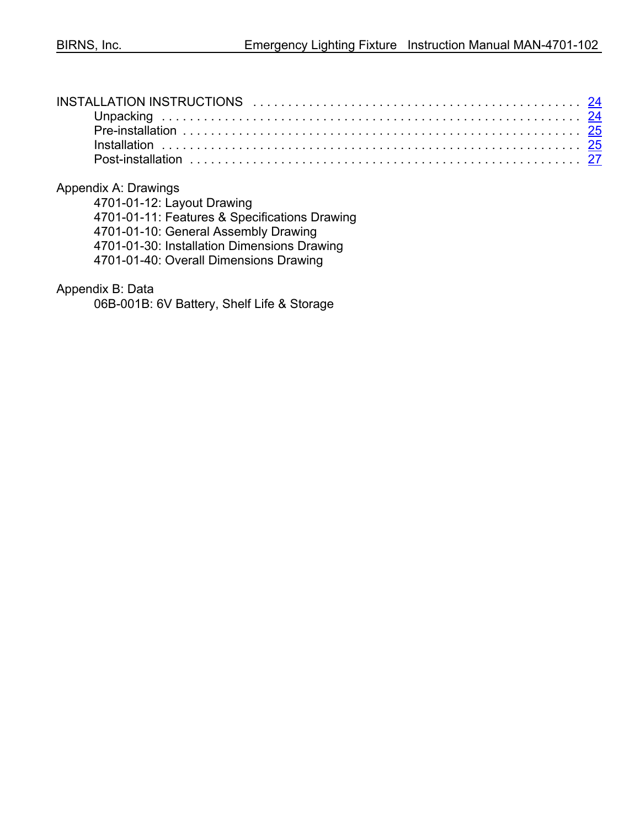Appendix A: Drawings

4701-01-12: Layout Drawing 4701-01-11: Features & Specifications Drawing 4701-01-10: General Assembly Drawing 4701-01-30: Installation Dimensions Drawing 4701-01-40: Overall Dimensions Drawing

Appendix B: Data

06B-001B: 6V Battery, Shelf Life & Storage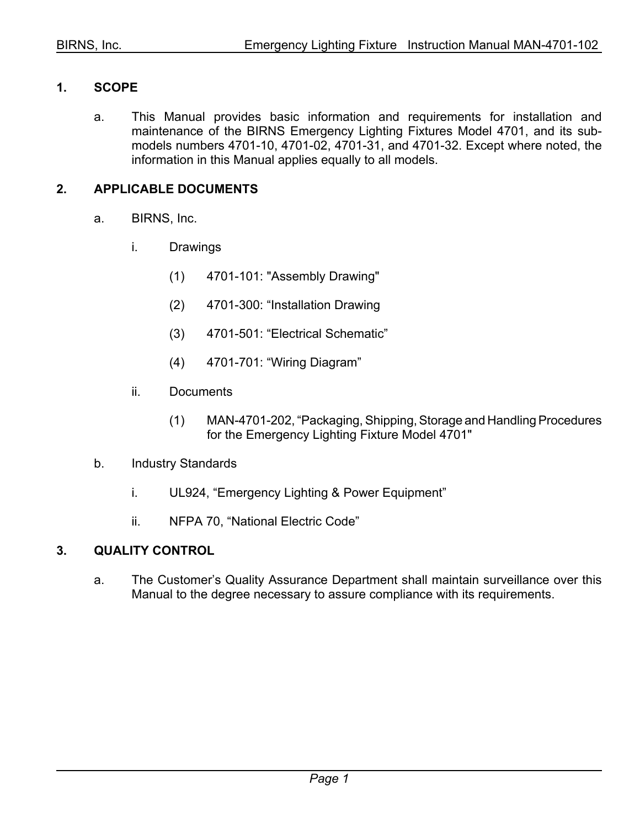#### **1. SCOPE**

a. This Manual provides basic information and requirements for installation and maintenance of the BIRNS Emergency Lighting Fixtures Model 4701, and its submodels numbers 4701-10, 4701-02, 4701-31, and 4701-32. Except where noted, the information in this Manual applies equally to all models.

#### **2. APPLICABLE DOCUMENTS**

- a. BIRNS, Inc.
	- i. Drawings
		- (1) 4701-101: "Assembly Drawing"
		- (2) 4701-300: "Installation Drawing
		- (3) 4701-501: "Electrical Schematic"
		- (4) 4701-701: "Wiring Diagram"
	- ii. Documents
		- (1) MAN-4701-202, "Packaging, Shipping, Storage and Handling Procedures for the Emergency Lighting Fixture Model 4701"
- b. Industry Standards
	- i. UL924, "Emergency Lighting & Power Equipment"
	- ii. NFPA 70, "National Electric Code"

#### **3. QUALITY CONTROL**

a. The Customer's Quality Assurance Department shall maintain surveillance over this Manual to the degree necessary to assure compliance with its requirements.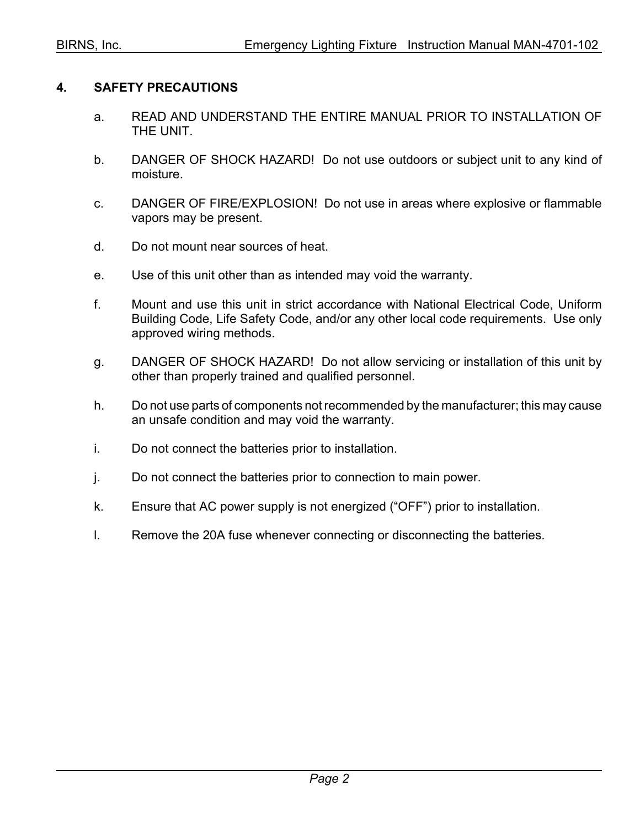#### **4. SAFETY PRECAUTIONS**

- a. READ AND UNDERSTAND THE ENTIRE MANUAL PRIOR TO INSTALLATION OF THE UNIT.
- b. DANGER OF SHOCK HAZARD! Do not use outdoors or subject unit to any kind of moisture.
- c. DANGER OF FIRE/EXPLOSION! Do not use in areas where explosive or flammable vapors may be present.
- d. Do not mount near sources of heat.
- e. Use of this unit other than as intended may void the warranty.
- f. Mount and use this unit in strict accordance with National Electrical Code, Uniform Building Code, Life Safety Code, and/or any other local code requirements. Use only approved wiring methods.
- g. DANGER OF SHOCK HAZARD! Do not allow servicing or installation of this unit by other than properly trained and qualified personnel.
- h. Do not use parts of components not recommended by the manufacturer; this may cause an unsafe condition and may void the warranty.
- i. Do not connect the batteries prior to installation.
- j. Do not connect the batteries prior to connection to main power.
- k. Ensure that AC power supply is not energized ("OFF") prior to installation.
- l. Remove the 20A fuse whenever connecting or disconnecting the batteries.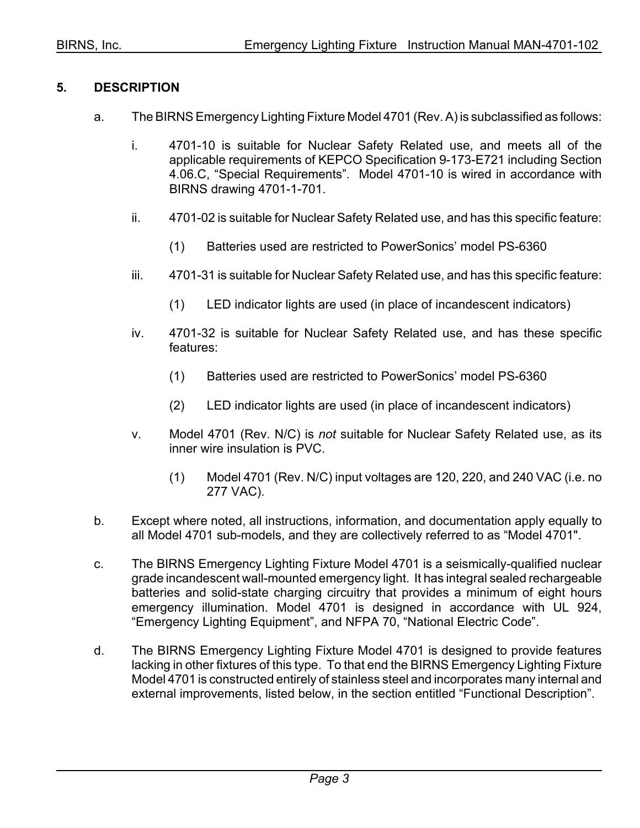#### **5. DESCRIPTION**

- a. The BIRNS Emergency Lighting Fixture Model 4701 (Rev. A) is subclassified as follows:
	- i. 4701-10 is suitable for Nuclear Safety Related use, and meets all of the applicable requirements of KEPCO Specification 9-173-E721 including Section 4.06.C, "Special Requirements". Model 4701-10 is wired in accordance with BIRNS drawing 4701-1-701.
	- ii. 4701-02 is suitable for Nuclear Safety Related use, and has this specific feature:
		- (1) Batteries used are restricted to PowerSonics' model PS-6360
	- iii. 4701-31 is suitable for Nuclear Safety Related use, and has this specific feature:
		- (1) LED indicator lights are used (in place of incandescent indicators)
	- iv. 4701-32 is suitable for Nuclear Safety Related use, and has these specific features:
		- (1) Batteries used are restricted to PowerSonics' model PS-6360
		- (2) LED indicator lights are used (in place of incandescent indicators)
	- v. Model 4701 (Rev. N/C) is *not* suitable for Nuclear Safety Related use, as its inner wire insulation is PVC.
		- (1) Model 4701 (Rev. N/C) input voltages are 120, 220, and 240 VAC (i.e. no 277 VAC).
- b. Except where noted, all instructions, information, and documentation apply equally to all Model 4701 sub-models, and they are collectively referred to as "Model 4701".
- c. The BIRNS Emergency Lighting Fixture Model 4701 is a seismically-qualified nuclear grade incandescent wall-mounted emergency light. It has integral sealed rechargeable batteries and solid-state charging circuitry that provides a minimum of eight hours emergency illumination. Model 4701 is designed in accordance with UL 924, "Emergency Lighting Equipment", and NFPA 70, "National Electric Code".
- d. The BIRNS Emergency Lighting Fixture Model 4701 is designed to provide features lacking in other fixtures of this type. To that end the BIRNS Emergency Lighting Fixture Model 4701 is constructed entirely of stainless steel and incorporates many internal and external improvements, listed below, in the section entitled "Functional Description".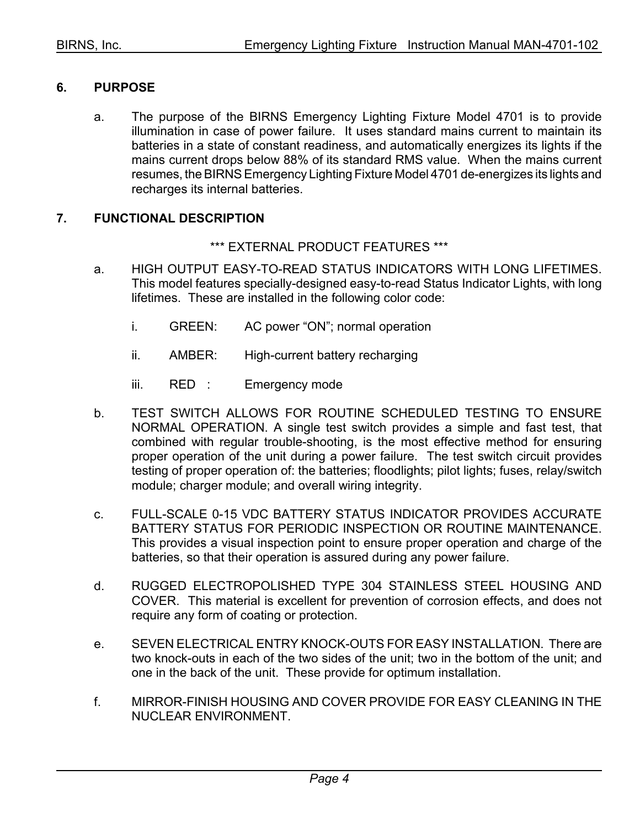#### **6. PURPOSE**

a. The purpose of the BIRNS Emergency Lighting Fixture Model 4701 is to provide illumination in case of power failure. It uses standard mains current to maintain its batteries in a state of constant readiness, and automatically energizes its lights if the mains current drops below 88% of its standard RMS value. When the mains current resumes, the BIRNS Emergency Lighting Fixture Model 4701 de-energizes its lights and recharges its internal batteries.

#### **7. FUNCTIONAL DESCRIPTION**

\*\*\* EXTERNAL PRODUCT FEATURES \*\*\*

- a. HIGH OUTPUT EASY-TO-READ STATUS INDICATORS WITH LONG LIFETIMES. This model features specially-designed easy-to-read Status Indicator Lights, with long lifetimes. These are installed in the following color code:
	- i. GREEN: AC power "ON"; normal operation
	- ii. AMBER: High-current battery recharging
	- iii. RED : Emergency mode
- b. TEST SWITCH ALLOWS FOR ROUTINE SCHEDULED TESTING TO ENSURE NORMAL OPERATION. A single test switch provides a simple and fast test, that combined with regular trouble-shooting, is the most effective method for ensuring proper operation of the unit during a power failure. The test switch circuit provides testing of proper operation of: the batteries; floodlights; pilot lights; fuses, relay/switch module; charger module; and overall wiring integrity.
- c. FULL-SCALE 0-15 VDC BATTERY STATUS INDICATOR PROVIDES ACCURATE BATTERY STATUS FOR PERIODIC INSPECTION OR ROUTINE MAINTENANCE. This provides a visual inspection point to ensure proper operation and charge of the batteries, so that their operation is assured during any power failure.
- d. RUGGED ELECTROPOLISHED TYPE 304 STAINLESS STEEL HOUSING AND COVER. This material is excellent for prevention of corrosion effects, and does not require any form of coating or protection.
- e. SEVEN ELECTRICAL ENTRY KNOCK-OUTS FOR EASY INSTALLATION. There are two knock-outs in each of the two sides of the unit; two in the bottom of the unit; and one in the back of the unit. These provide for optimum installation.
- f. MIRROR-FINISH HOUSING AND COVER PROVIDE FOR EASY CLEANING IN THE NUCLEAR ENVIRONMENT.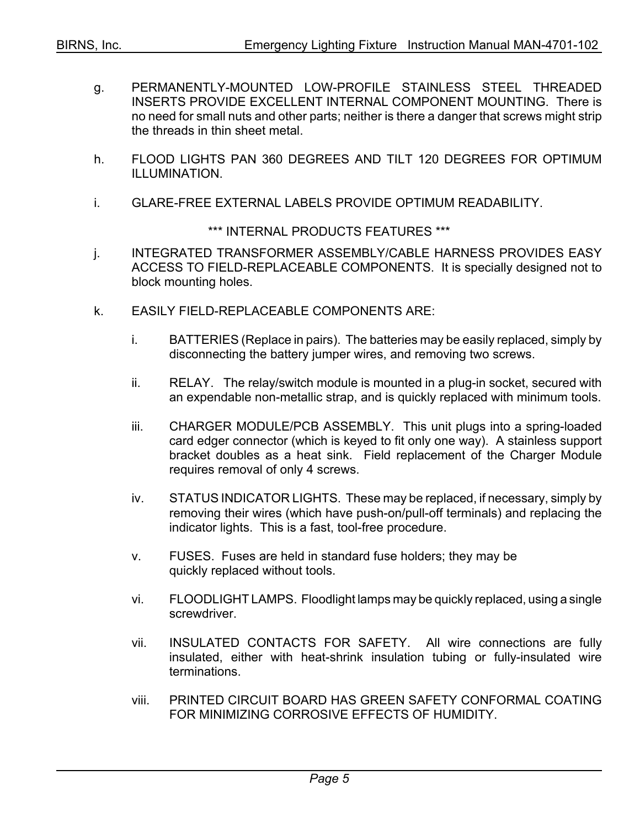- g. PERMANENTLY-MOUNTED LOW-PROFILE STAINLESS STEEL THREADED INSERTS PROVIDE EXCELLENT INTERNAL COMPONENT MOUNTING. There is no need for small nuts and other parts; neither is there a danger that screws might strip the threads in thin sheet metal.
- h. FLOOD LIGHTS PAN 360 DEGREES AND TILT 120 DEGREES FOR OPTIMUM ILLUMINATION.
- i. GLARE-FREE EXTERNAL LABELS PROVIDE OPTIMUM READABILITY.

#### \*\*\* INTERNAL PRODUCTS FEATURES \*\*\*

- j. INTEGRATED TRANSFORMER ASSEMBLY/CABLE HARNESS PROVIDES EASY ACCESS TO FIELD-REPLACEABLE COMPONENTS. It is specially designed not to block mounting holes.
- k. EASILY FIELD-REPLACEABLE COMPONENTS ARE:
	- i. BATTERIES (Replace in pairs). The batteries may be easily replaced, simply by disconnecting the battery jumper wires, and removing two screws.
	- ii. RELAY. The relay/switch module is mounted in a plug-in socket, secured with an expendable non-metallic strap, and is quickly replaced with minimum tools.
	- iii. CHARGER MODULE/PCB ASSEMBLY. This unit plugs into a spring-loaded card edger connector (which is keyed to fit only one way). A stainless support bracket doubles as a heat sink. Field replacement of the Charger Module requires removal of only 4 screws.
	- iv. STATUS INDICATOR LIGHTS. These may be replaced, if necessary, simply by removing their wires (which have push-on/pull-off terminals) and replacing the indicator lights. This is a fast, tool-free procedure.
	- v. FUSES. Fuses are held in standard fuse holders; they may be quickly replaced without tools.
	- vi. FLOODLIGHT LAMPS. Floodlight lamps may be quickly replaced, using a single screwdriver.
	- vii. INSULATED CONTACTS FOR SAFETY. All wire connections are fully insulated, either with heat-shrink insulation tubing or fully-insulated wire terminations.
	- viii. PRINTED CIRCUIT BOARD HAS GREEN SAFETY CONFORMAL COATING FOR MINIMIZING CORROSIVE EFFECTS OF HUMIDITY.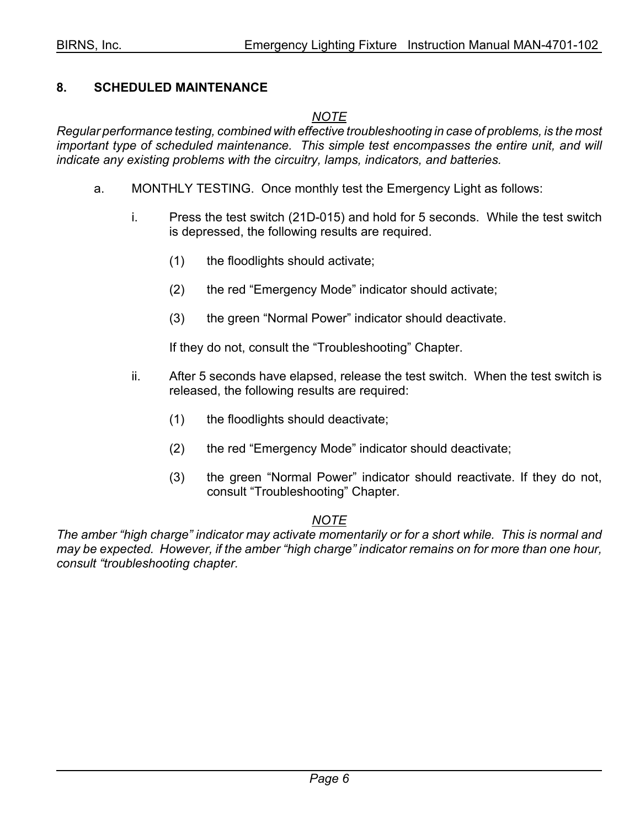#### **8. SCHEDULED MAINTENANCE**

#### *NOTE*

*Regular performance testing, combined with effective troubleshooting in case of problems, is the most important type of scheduled maintenance. This simple test encompasses the entire unit, and will indicate any existing problems with the circuitry, lamps, indicators, and batteries.*

- a. MONTHLY TESTING. Once monthly test the Emergency Light as follows:
	- i. Press the test switch (21D-015) and hold for 5 seconds. While the test switch is depressed, the following results are required.
		- (1) the floodlights should activate;
		- (2) the red "Emergency Mode" indicator should activate;
		- (3) the green "Normal Power" indicator should deactivate.

If they do not, consult the "Troubleshooting" Chapter.

- ii. After 5 seconds have elapsed, release the test switch. When the test switch is released, the following results are required:
	- (1) the floodlights should deactivate;
	- (2) the red "Emergency Mode" indicator should deactivate;
	- (3) the green "Normal Power" indicator should reactivate. If they do not, consult "Troubleshooting" Chapter.

#### *NOTE*

*The amber "high charge" indicator may activate momentarily or for a short while. This is normal and may be expected. However, if the amber "high charge" indicator remains on for more than one hour, consult "troubleshooting chapter.*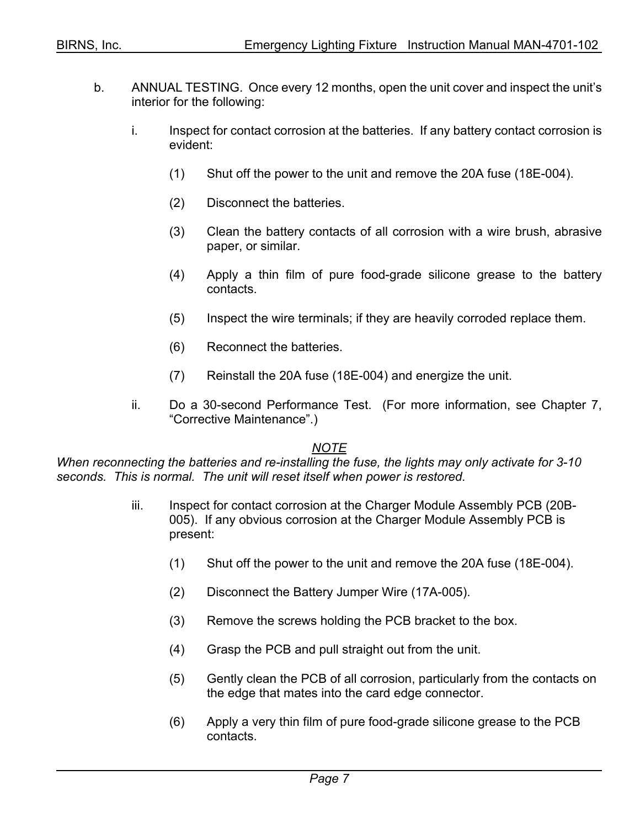- b. ANNUAL TESTING. Once every 12 months, open the unit cover and inspect the unit's interior for the following:
	- i. Inspect for contact corrosion at the batteries. If any battery contact corrosion is evident:
		- (1) Shut off the power to the unit and remove the 20A fuse (18E-004).
		- (2) Disconnect the batteries.
		- (3) Clean the battery contacts of all corrosion with a wire brush, abrasive paper, or similar.
		- (4) Apply a thin film of pure food-grade silicone grease to the battery contacts.
		- (5) Inspect the wire terminals; if they are heavily corroded replace them.
		- (6) Reconnect the batteries.
		- (7) Reinstall the 20A fuse (18E-004) and energize the unit.
	- ii. Do a 30-second Performance Test. (For more information, see Chapter 7, "Corrective Maintenance".)

#### *NOTE*

*When reconnecting the batteries and re-installing the fuse, the lights may only activate for 3-10 seconds. This is normal. The unit will reset itself when power is restored.*

- iii. Inspect for contact corrosion at the Charger Module Assembly PCB (20B-005). If any obvious corrosion at the Charger Module Assembly PCB is present:
	- (1) Shut off the power to the unit and remove the 20A fuse (18E-004).
	- (2) Disconnect the Battery Jumper Wire (17A-005).
	- (3) Remove the screws holding the PCB bracket to the box.
	- (4) Grasp the PCB and pull straight out from the unit.
	- (5) Gently clean the PCB of all corrosion, particularly from the contacts on the edge that mates into the card edge connector.
	- (6) Apply a very thin film of pure food-grade silicone grease to the PCB contacts.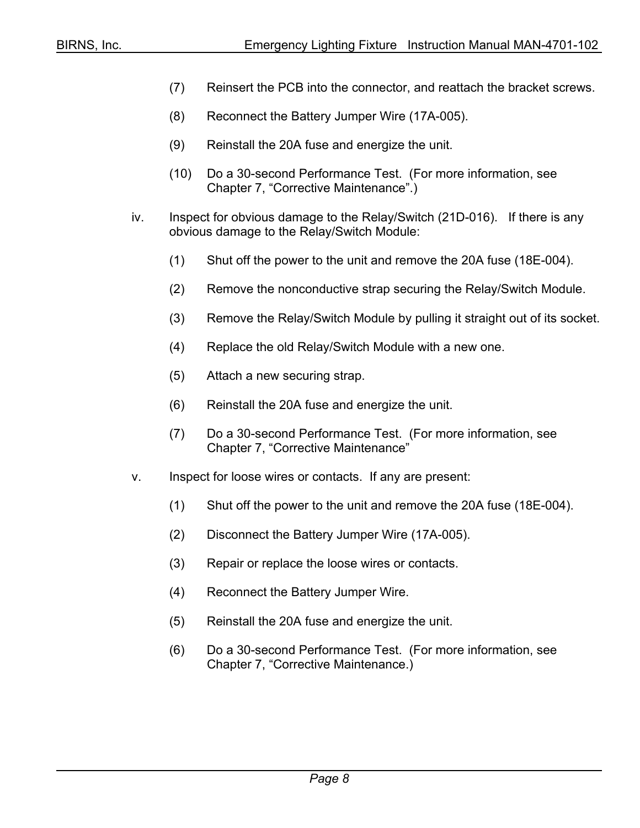- (7) Reinsert the PCB into the connector, and reattach the bracket screws.
- (8) Reconnect the Battery Jumper Wire (17A-005).
- (9) Reinstall the 20A fuse and energize the unit.
- (10) Do a 30-second Performance Test. (For more information, see Chapter 7, "Corrective Maintenance".)
- iv. Inspect for obvious damage to the Relay/Switch (21D-016). If there is any obvious damage to the Relay/Switch Module:
	- (1) Shut off the power to the unit and remove the 20A fuse (18E-004).
	- (2) Remove the nonconductive strap securing the Relay/Switch Module.
	- (3) Remove the Relay/Switch Module by pulling it straight out of its socket.
	- (4) Replace the old Relay/Switch Module with a new one.
	- (5) Attach a new securing strap.
	- (6) Reinstall the 20A fuse and energize the unit.
	- (7) Do a 30-second Performance Test. (For more information, see Chapter 7, "Corrective Maintenance"
- v. Inspect for loose wires or contacts. If any are present:
	- (1) Shut off the power to the unit and remove the 20A fuse (18E-004).
	- (2) Disconnect the Battery Jumper Wire (17A-005).
	- (3) Repair or replace the loose wires or contacts.
	- (4) Reconnect the Battery Jumper Wire.
	- (5) Reinstall the 20A fuse and energize the unit.
	- (6) Do a 30-second Performance Test. (For more information, see Chapter 7, "Corrective Maintenance.)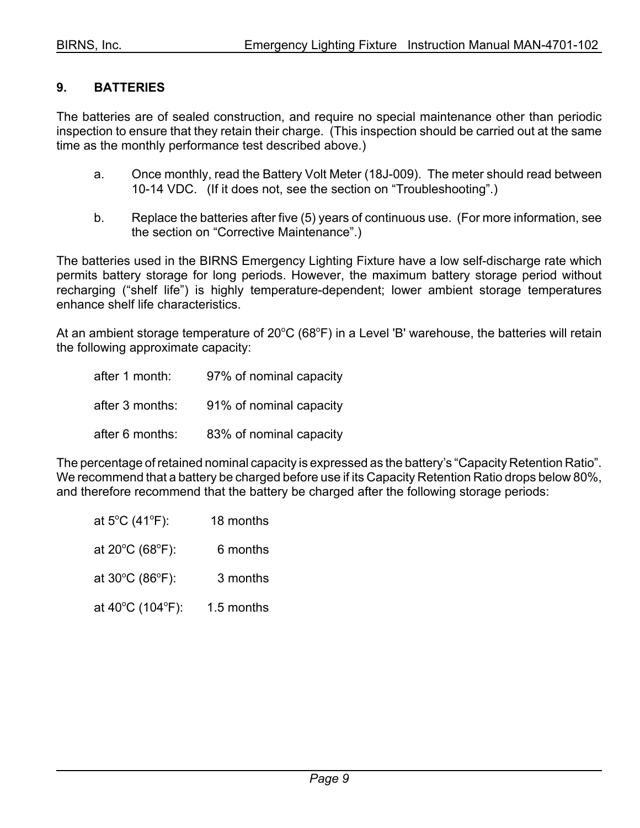#### **9. BATTERIES**

The batteries are of sealed construction, and require no special maintenance other than periodic inspection to ensure that they retain their charge. (This inspection should be carried out at the same time as the monthly performance test described above.)

- a. Once monthly, read the Battery Volt Meter (18J-009). The meter should read between 10-14 VDC. (If it does not, see the section on "Troubleshooting".)
- b. Replace the batteries after five (5) years of continuous use. (For more information, see the section on "Corrective Maintenance".)

The batteries used in the BIRNS Emergency Lighting Fixture have a low self-discharge rate which permits battery storage for long periods. However, the maximum battery storage period without recharging ("shelf life") is highly temperature-dependent; lower ambient storage temperatures enhance shelf life characteristics.

At an ambient storage temperature of 20 $^{\circ}$ C (68 $^{\circ}$ F) in a Level 'B' warehouse, the batteries will retain the following approximate capacity:

| after 1 month:  | 97% of nominal capacity |
|-----------------|-------------------------|
| after 3 months: | 91% of nominal capacity |
| after 6 months: | 83% of nominal capacity |

The percentage of retained nominal capacity is expressed as the battery's "Capacity Retention Ratio". We recommend that a battery be charged before use if its Capacity Retention Ratio drops below 80%, and therefore recommend that the battery be charged after the following storage periods:

| at 5°C (41°F):   | 18 months  |
|------------------|------------|
| at 20°C (68°F):  | 6 months   |
| at 30°C (86°F):  | 3 months   |
| at 40°C (104°F): | 1.5 months |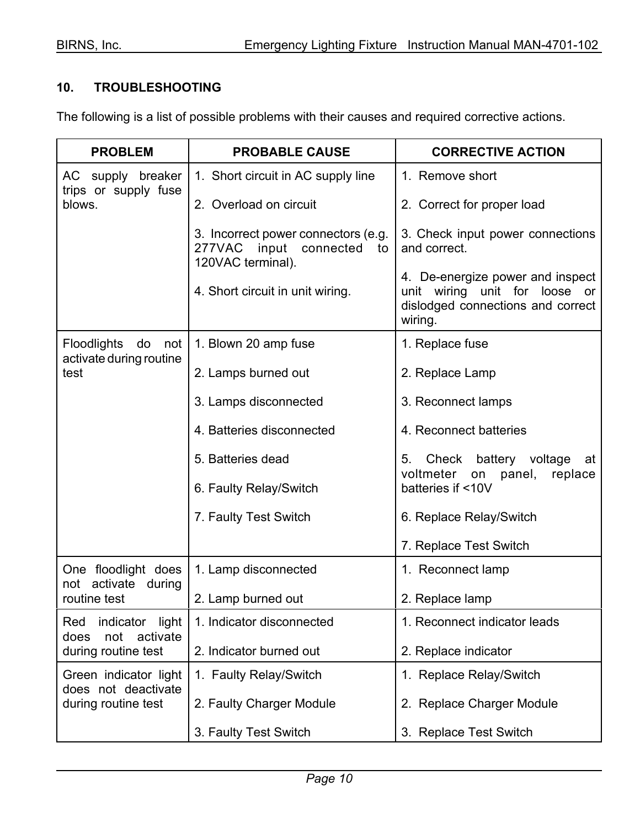#### **10. TROUBLESHOOTING**

The following is a list of possible problems with their causes and required corrective actions.

| <b>PROBLEM</b>                                    | <b>PROBABLE CAUSE</b>                                                                    | <b>CORRECTIVE ACTION</b>                                                                                                   |
|---------------------------------------------------|------------------------------------------------------------------------------------------|----------------------------------------------------------------------------------------------------------------------------|
| AC supply breaker                                 | 1. Short circuit in AC supply line                                                       | 1. Remove short                                                                                                            |
| trips or supply fuse<br>blows.                    | 2. Overload on circuit                                                                   | 2. Correct for proper load                                                                                                 |
|                                                   | 3. Incorrect power connectors (e.g.<br>277VAC input connected<br>to<br>120VAC terminal). | 3. Check input power connections<br>and correct.                                                                           |
|                                                   | 4. Short circuit in unit wiring.                                                         | 4. De-energize power and inspect<br>unit wiring<br>unit for<br>loose<br>or<br>dislodged connections and correct<br>wiring. |
| Floodlights do<br>not                             | 1. Blown 20 amp fuse                                                                     | 1. Replace fuse                                                                                                            |
| activate during routine<br>test                   | 2. Lamps burned out                                                                      | 2. Replace Lamp                                                                                                            |
|                                                   | 3. Lamps disconnected                                                                    | 3. Reconnect lamps                                                                                                         |
|                                                   | 4. Batteries disconnected                                                                | 4. Reconnect batteries                                                                                                     |
|                                                   | 5. Batteries dead                                                                        | Check battery voltage<br>5.<br>at                                                                                          |
|                                                   | 6. Faulty Relay/Switch                                                                   | voltmeter<br>panel,<br>replace<br>on<br>batteries if <10V                                                                  |
|                                                   | 7. Faulty Test Switch                                                                    | 6. Replace Relay/Switch                                                                                                    |
|                                                   |                                                                                          | 7. Replace Test Switch                                                                                                     |
| One floodlight does<br>not activate<br>during     | 1. Lamp disconnected                                                                     | 1. Reconnect lamp                                                                                                          |
| routine test                                      | 2. Lamp burned out                                                                       | 2. Replace lamp                                                                                                            |
| indicator light<br>Red<br>activate<br>not<br>does | 1. Indicator disconnected                                                                | 1. Reconnect indicator leads                                                                                               |
| during routine test                               | 2. Indicator burned out                                                                  | 2. Replace indicator                                                                                                       |
| Green indicator light<br>does not deactivate      | 1. Faulty Relay/Switch                                                                   | 1. Replace Relay/Switch                                                                                                    |
| during routine test                               | 2. Faulty Charger Module                                                                 | 2. Replace Charger Module                                                                                                  |
|                                                   | 3. Faulty Test Switch                                                                    | 3. Replace Test Switch                                                                                                     |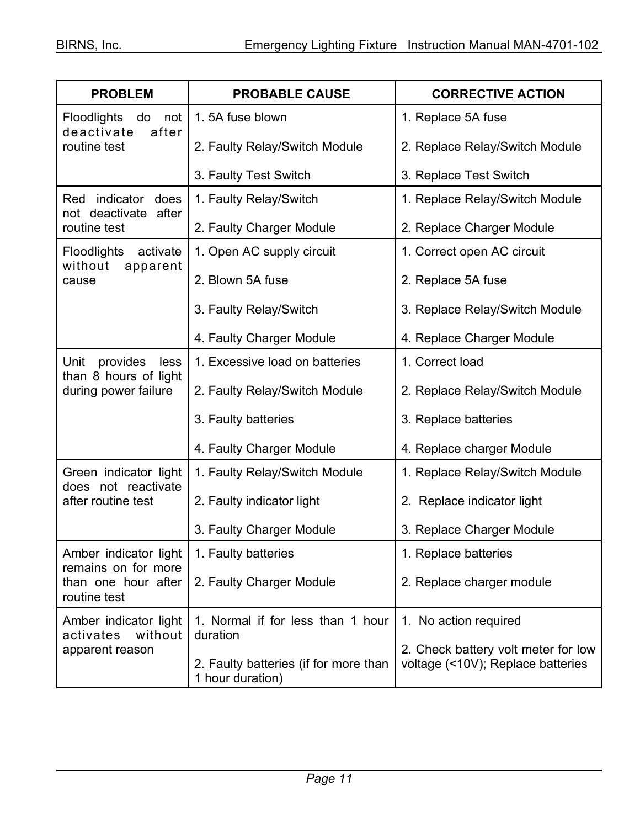| <b>PROBLEM</b>                                        | <b>PROBABLE CAUSE</b>                                     | <b>CORRECTIVE ACTION</b>                                                 |  |
|-------------------------------------------------------|-----------------------------------------------------------|--------------------------------------------------------------------------|--|
| <b>Floodlights</b><br>do<br>not                       | 1.5A fuse blown                                           | 1. Replace 5A fuse                                                       |  |
| deactivate<br>after<br>routine test                   | 2. Faulty Relay/Switch Module                             | 2. Replace Relay/Switch Module                                           |  |
|                                                       | 3. Faulty Test Switch                                     | 3. Replace Test Switch                                                   |  |
| indicator<br>does<br>Red<br>not deactivate after      | 1. Faulty Relay/Switch                                    | 1. Replace Relay/Switch Module                                           |  |
| routine test                                          | 2. Faulty Charger Module                                  | 2. Replace Charger Module                                                |  |
| <b>Floodlights</b><br>activate<br>without<br>apparent | 1. Open AC supply circuit                                 | 1. Correct open AC circuit                                               |  |
| cause                                                 | 2. Blown 5A fuse                                          | 2. Replace 5A fuse                                                       |  |
|                                                       | 3. Faulty Relay/Switch                                    | 3. Replace Relay/Switch Module                                           |  |
|                                                       | 4. Faulty Charger Module                                  | 4. Replace Charger Module                                                |  |
| Unit<br>provides<br>less                              | 1. Excessive load on batteries                            | 1. Correct load                                                          |  |
| than 8 hours of light<br>during power failure         | 2. Faulty Relay/Switch Module                             | 2. Replace Relay/Switch Module                                           |  |
|                                                       | 3. Faulty batteries                                       | 3. Replace batteries                                                     |  |
|                                                       | 4. Faulty Charger Module                                  | 4. Replace charger Module                                                |  |
| Green indicator light<br>does not reactivate          | 1. Faulty Relay/Switch Module                             | 1. Replace Relay/Switch Module                                           |  |
| after routine test                                    | 2. Faulty indicator light                                 | 2. Replace indicator light                                               |  |
|                                                       | 3. Faulty Charger Module                                  | 3. Replace Charger Module                                                |  |
| Amber indicator light<br>remains on for more          | 1. Faulty batteries                                       | 1. Replace batteries                                                     |  |
| than one hour after<br>routine test                   | 2. Faulty Charger Module                                  | 2. Replace charger module                                                |  |
| Amber indicator light<br>without<br>activates         | 1. Normal if for less than 1 hour<br>duration             | 1. No action required                                                    |  |
| apparent reason                                       | 2. Faulty batteries (if for more than<br>1 hour duration) | 2. Check battery volt meter for low<br>voltage (<10V); Replace batteries |  |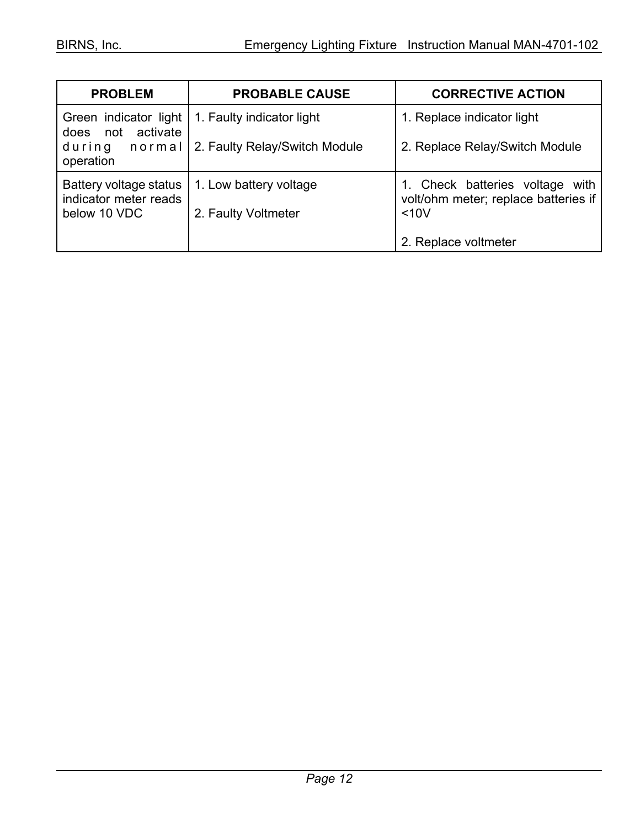| <b>PROBLEM</b>                                                           | <b>PROBABLE CAUSE</b>                                      | <b>CORRECTIVE ACTION</b>                                                           |
|--------------------------------------------------------------------------|------------------------------------------------------------|------------------------------------------------------------------------------------|
| Green indicator light<br>does not activate<br>during normal<br>operation | 1. Faulty indicator light<br>2. Faulty Relay/Switch Module | 1. Replace indicator light<br>2. Replace Relay/Switch Module                       |
| Battery voltage status<br>indicator meter reads<br>below 10 VDC          | 1. Low battery voltage<br>2. Faulty Voltmeter              | 1. Check batteries voltage<br>with<br>volt/ohm meter; replace batteries if<br><10V |
|                                                                          |                                                            | 2. Replace voltmeter                                                               |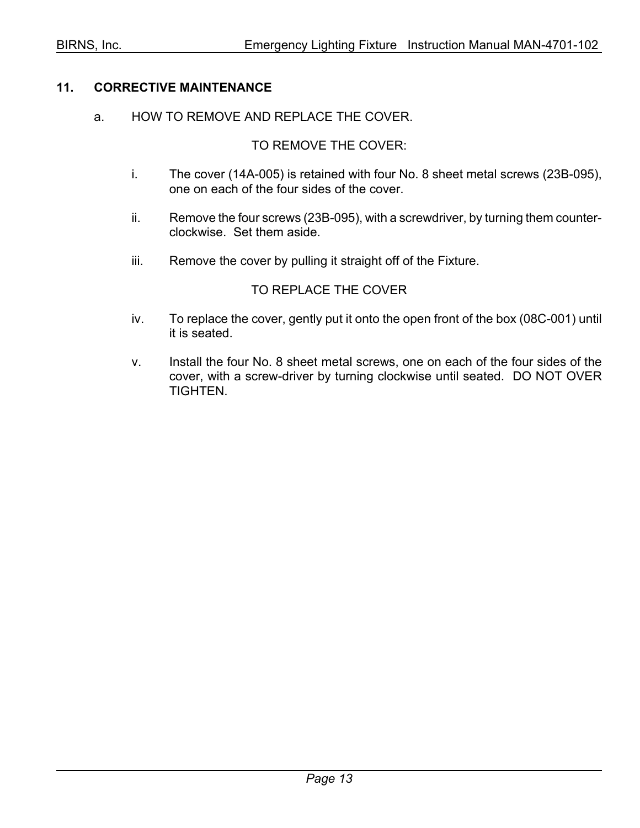#### **11. CORRECTIVE MAINTENANCE**

#### a. HOW TO REMOVE AND REPLACE THE COVER.

#### TO REMOVE THE COVER:

- i. The cover (14A-005) is retained with four No. 8 sheet metal screws (23B-095), one on each of the four sides of the cover.
- ii. Remove the four screws (23B-095), with a screwdriver, by turning them counterclockwise. Set them aside.
- iii. Remove the cover by pulling it straight off of the Fixture.

#### TO REPLACE THE COVER

- iv. To replace the cover, gently put it onto the open front of the box (08C-001) until it is seated.
- v. Install the four No. 8 sheet metal screws, one on each of the four sides of the cover, with a screw-driver by turning clockwise until seated. DO NOT OVER TIGHTEN.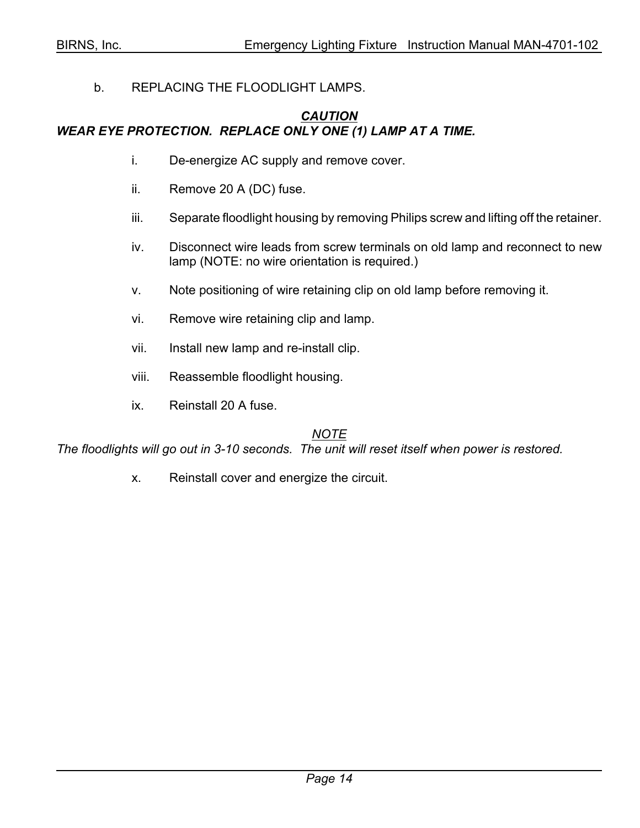b. REPLACING THE FLOODLIGHT LAMPS.

#### *CAUTION WEAR EYE PROTECTION. REPLACE ONLY ONE (1) LAMP AT A TIME.*

- i. De-energize AC supply and remove cover.
- ii. Remove 20 A (DC) fuse.
- iii. Separate floodlight housing by removing Philips screw and lifting off the retainer.
- iv. Disconnect wire leads from screw terminals on old lamp and reconnect to new lamp (NOTE: no wire orientation is required.)
- v. Note positioning of wire retaining clip on old lamp before removing it.
- vi. Remove wire retaining clip and lamp.
- vii. Install new lamp and re-install clip.
- viii. Reassemble floodlight housing.
- ix. Reinstall 20 A fuse.

#### *NOTE*

*The floodlights will go out in 3-10 seconds. The unit will reset itself when power is restored.*

x. Reinstall cover and energize the circuit.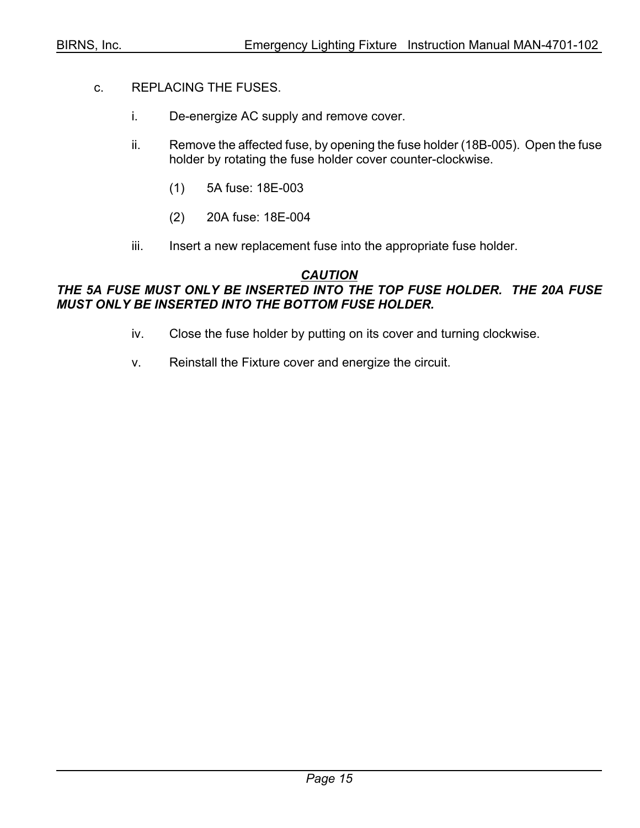- c. REPLACING THE FUSES.
	- i. De-energize AC supply and remove cover.
	- ii. Remove the affected fuse, by opening the fuse holder (18B-005). Open the fuse holder by rotating the fuse holder cover counter-clockwise.
		- (1) 5A fuse: 18E-003
		- (2) 20A fuse: 18E-004
	- iii. Insert a new replacement fuse into the appropriate fuse holder.

#### *CAUTION*

#### *THE 5A FUSE MUST ONLY BE INSERTED INTO THE TOP FUSE HOLDER. THE 20A FUSE MUST ONLY BE INSERTED INTO THE BOTTOM FUSE HOLDER.*

- iv. Close the fuse holder by putting on its cover and turning clockwise.
- v. Reinstall the Fixture cover and energize the circuit.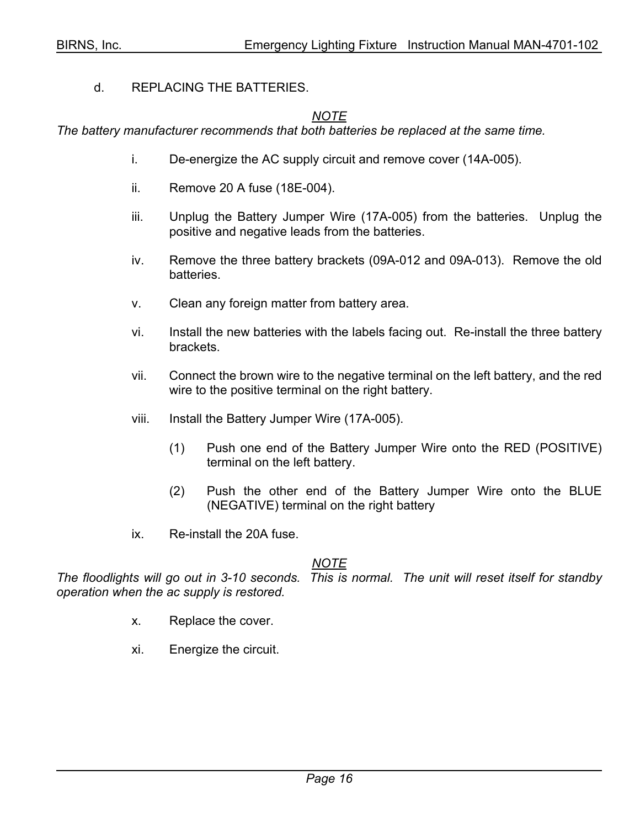#### d. REPLACING THE BATTERIES.

#### *NOTE*

*The battery manufacturer recommends that both batteries be replaced at the same time.*

- i. De-energize the AC supply circuit and remove cover (14A-005).
- ii. Remove 20 A fuse (18E-004).
- iii. Unplug the Battery Jumper Wire (17A-005) from the batteries. Unplug the positive and negative leads from the batteries.
- iv. Remove the three battery brackets (09A-012 and 09A-013). Remove the old batteries.
- v. Clean any foreign matter from battery area.
- vi. Install the new batteries with the labels facing out. Re-install the three battery brackets.
- vii. Connect the brown wire to the negative terminal on the left battery, and the red wire to the positive terminal on the right battery.
- viii. Install the Battery Jumper Wire (17A-005).
	- (1) Push one end of the Battery Jumper Wire onto the RED (POSITIVE) terminal on the left battery.
	- (2) Push the other end of the Battery Jumper Wire onto the BLUE (NEGATIVE) terminal on the right battery
- ix. Re-install the 20A fuse.

#### *NOTE*

*The floodlights will go out in 3-10 seconds. This is normal. The unit will reset itself for standby operation when the ac supply is restored.*

- x. Replace the cover.
- xi. Energize the circuit.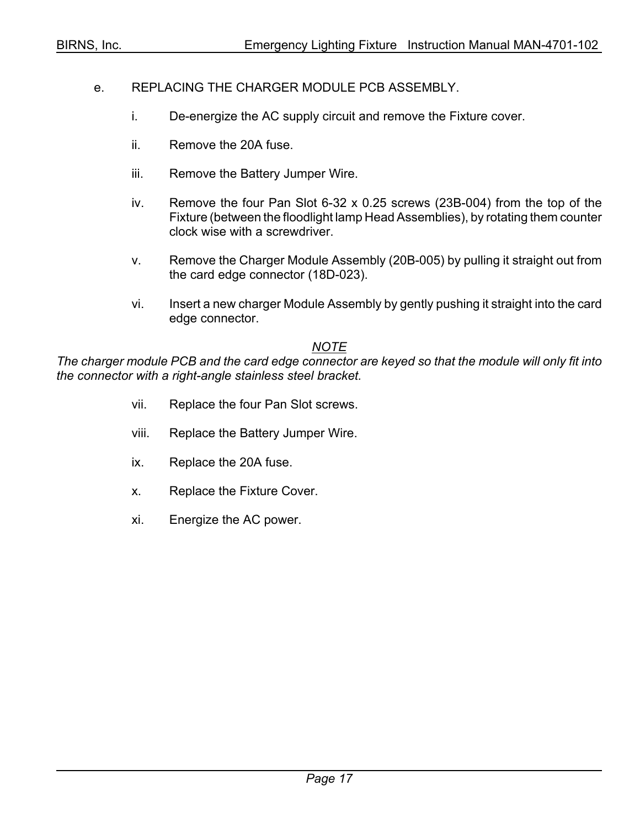#### e. REPLACING THE CHARGER MODULE PCB ASSEMBLY.

- i. De-energize the AC supply circuit and remove the Fixture cover.
- ii. Remove the 20A fuse.
- iii. Remove the Battery Jumper Wire.
- iv. Remove the four Pan Slot 6-32 x 0.25 screws (23B-004) from the top of the Fixture (between the floodlight lamp Head Assemblies), by rotating them counter clock wise with a screwdriver.
- v. Remove the Charger Module Assembly (20B-005) by pulling it straight out from the card edge connector (18D-023).
- vi. Insert a new charger Module Assembly by gently pushing it straight into the card edge connector.

#### *NOTE*

*The charger module PCB and the card edge connector are keyed so that the module will only fit into the connector with a right-angle stainless steel bracket.*

- vii. Replace the four Pan Slot screws.
- viii. Replace the Battery Jumper Wire.
- ix. Replace the 20A fuse.
- x. Replace the Fixture Cover.
- xi. Energize the AC power.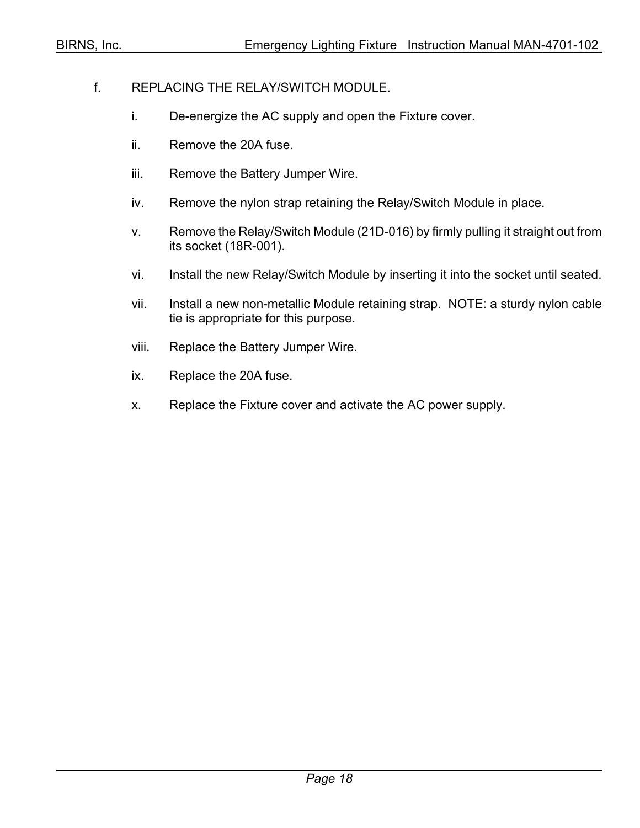#### f. REPLACING THE RELAY/SWITCH MODULE.

- i. De-energize the AC supply and open the Fixture cover.
- ii. Remove the 20A fuse.
- iii. Remove the Battery Jumper Wire.
- iv. Remove the nylon strap retaining the Relay/Switch Module in place.
- v. Remove the Relay/Switch Module (21D-016) by firmly pulling it straight out from its socket (18R-001).
- vi. Install the new Relay/Switch Module by inserting it into the socket until seated.
- vii. Install a new non-metallic Module retaining strap. NOTE: a sturdy nylon cable tie is appropriate for this purpose.
- viii. Replace the Battery Jumper Wire.
- ix. Replace the 20A fuse.
- x. Replace the Fixture cover and activate the AC power supply.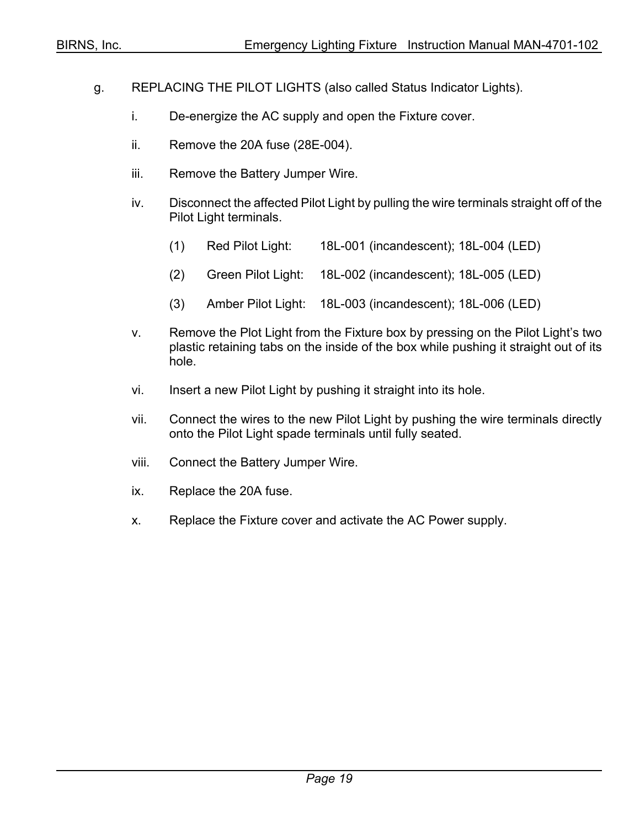- g. REPLACING THE PILOT LIGHTS (also called Status Indicator Lights).
	- i. De-energize the AC supply and open the Fixture cover.
	- ii. Remove the 20A fuse (28E-004).
	- iii. Remove the Battery Jumper Wire.
	- iv. Disconnect the affected Pilot Light by pulling the wire terminals straight off of the Pilot Light terminals.
		- (1) Red Pilot Light: 18L-001 (incandescent); 18L-004 (LED)
		- (2) Green Pilot Light: 18L-002 (incandescent); 18L-005 (LED)
		- (3) Amber Pilot Light: 18L-003 (incandescent); 18L-006 (LED)
	- v. Remove the Plot Light from the Fixture box by pressing on the Pilot Light's two plastic retaining tabs on the inside of the box while pushing it straight out of its hole.
	- vi. Insert a new Pilot Light by pushing it straight into its hole.
	- vii. Connect the wires to the new Pilot Light by pushing the wire terminals directly onto the Pilot Light spade terminals until fully seated.
	- viii. Connect the Battery Jumper Wire.
	- ix. Replace the 20A fuse.
	- x. Replace the Fixture cover and activate the AC Power supply.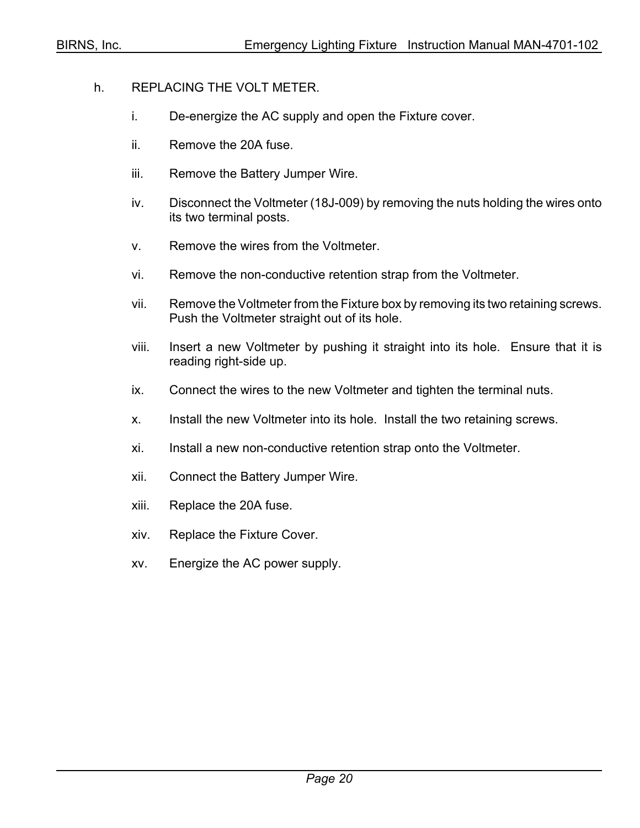#### h. REPLACING THE VOLT METER.

- i. De-energize the AC supply and open the Fixture cover.
- ii. Remove the 20A fuse.
- iii. Remove the Battery Jumper Wire.
- iv. Disconnect the Voltmeter (18J-009) by removing the nuts holding the wires onto its two terminal posts.
- v. Remove the wires from the Voltmeter.
- vi. Remove the non-conductive retention strap from the Voltmeter.
- vii. Remove the Voltmeter from the Fixture box by removing its two retaining screws. Push the Voltmeter straight out of its hole.
- viii. Insert a new Voltmeter by pushing it straight into its hole. Ensure that it is reading right-side up.
- ix. Connect the wires to the new Voltmeter and tighten the terminal nuts.
- x. Install the new Voltmeter into its hole. Install the two retaining screws.
- xi. Install a new non-conductive retention strap onto the Voltmeter.
- xii. Connect the Battery Jumper Wire.
- xiii. Replace the 20A fuse.
- xiv. Replace the Fixture Cover.
- xv. Energize the AC power supply.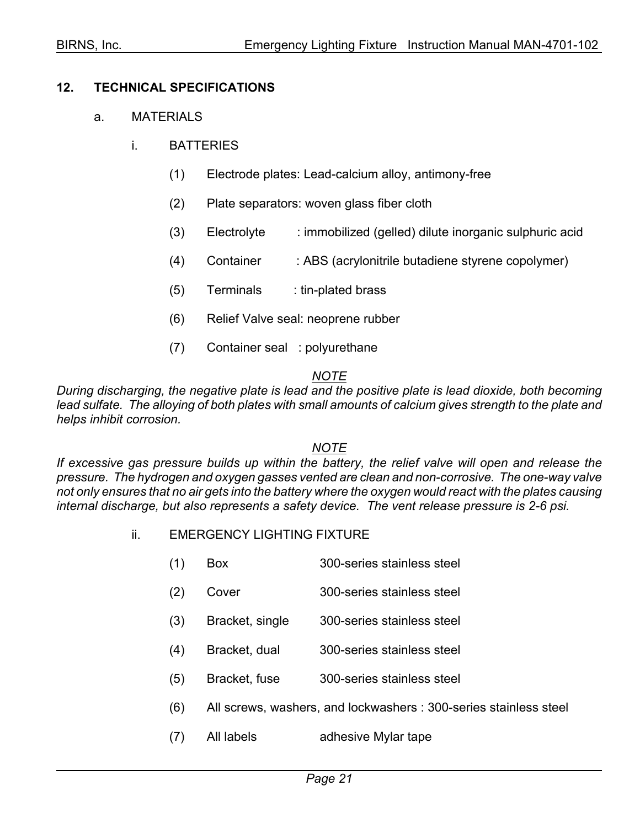#### **12. TECHNICAL SPECIFICATIONS**

- a. MATERIALS
	- i. BATTERIES
		- (1) Electrode plates: Lead-calcium alloy, antimony-free
		- (2) Plate separators: woven glass fiber cloth
		- (3) Electrolyte : immobilized (gelled) dilute inorganic sulphuric acid
		- (4) Container : ABS (acrylonitrile butadiene styrene copolymer)
		- (5) Terminals : tin-plated brass
		- (6) Relief Valve seal: neoprene rubber
		- (7) Container seal : polyurethane

#### *NOTE*

*During discharging, the negative plate is lead and the positive plate is lead dioxide, both becoming lead sulfate. The alloying of both plates with small amounts of calcium gives strength to the plate and helps inhibit corrosion.*

#### *NOTE*

*If excessive gas pressure builds up within the battery, the relief valve will open and release the pressure. The hydrogen and oxygen gasses vented are clean and non-corrosive. The one-way valve not only ensures that no air gets into the battery where the oxygen would react with the plates causing internal discharge, but also represents a safety device. The vent release pressure is 2-6 psi.*

- ii. EMERGENCY LIGHTING FIXTURE
	- (1) Box 300-series stainless steel
	- (2) Cover 300-series stainless steel
	- (3) Bracket, single 300-series stainless steel
	- (4) Bracket, dual 300-series stainless steel
	- (5) Bracket, fuse 300-series stainless steel
	- (6) All screws, washers, and lockwashers : 300-series stainless steel
	- (7) All labels adhesive Mylar tape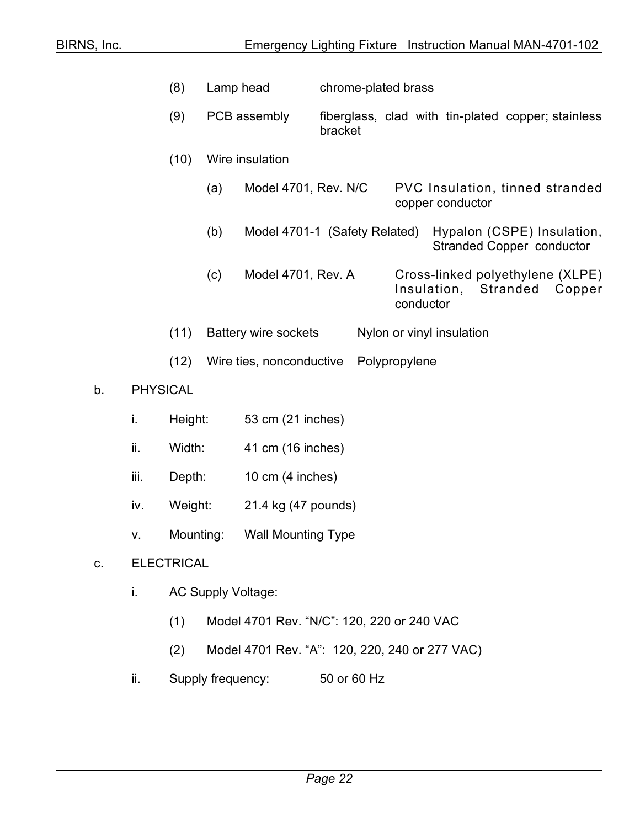|    |                 | (8)       |     | Lamp head                   | chrome-plated brass                                           |               |                           |                                                                |        |
|----|-----------------|-----------|-----|-----------------------------|---------------------------------------------------------------|---------------|---------------------------|----------------------------------------------------------------|--------|
|    |                 | (9)       |     | PCB assembly                | fiberglass, clad with tin-plated copper; stainless<br>bracket |               |                           |                                                                |        |
|    |                 | (10)      |     | Wire insulation             |                                                               |               |                           |                                                                |        |
|    |                 |           | (a) | Model 4701, Rev. N/C        |                                                               |               | copper conductor          | PVC Insulation, tinned stranded                                |        |
|    |                 |           | (b) |                             | Model 4701-1 (Safety Related)                                 |               |                           | Hypalon (CSPE) Insulation,<br><b>Stranded Copper conductor</b> |        |
|    |                 |           | (c) | Model 4701, Rev. A          |                                                               | conductor     | Insulation,               | Cross-linked polyethylene (XLPE)<br>Stranded                   | Copper |
|    |                 | (11)      |     | <b>Battery wire sockets</b> |                                                               |               | Nylon or vinyl insulation |                                                                |        |
|    |                 | (12)      |     | Wire ties, nonconductive    |                                                               | Polypropylene |                           |                                                                |        |
| b. | <b>PHYSICAL</b> |           |     |                             |                                                               |               |                           |                                                                |        |
|    | i.              | Height:   |     | 53 cm (21 inches)           |                                                               |               |                           |                                                                |        |
|    | ii.             | Width:    |     | 41 cm (16 inches)           |                                                               |               |                           |                                                                |        |
|    | iii.            | Depth:    |     | 10 cm (4 inches)            |                                                               |               |                           |                                                                |        |
|    | iv.             | Weight:   |     | 21.4 kg (47 pounds)         |                                                               |               |                           |                                                                |        |
|    | V.              | Mounting: |     | <b>Wall Mounting Type</b>   |                                                               |               |                           |                                                                |        |

#### c. ELECTRICAL

- i. AC Supply Voltage:
	- (1) Model 4701 Rev. "N/C": 120, 220 or 240 VAC
	- (2) Model 4701 Rev. "A": 120, 220, 240 or 277 VAC)
- ii. Supply frequency: 50 or 60 Hz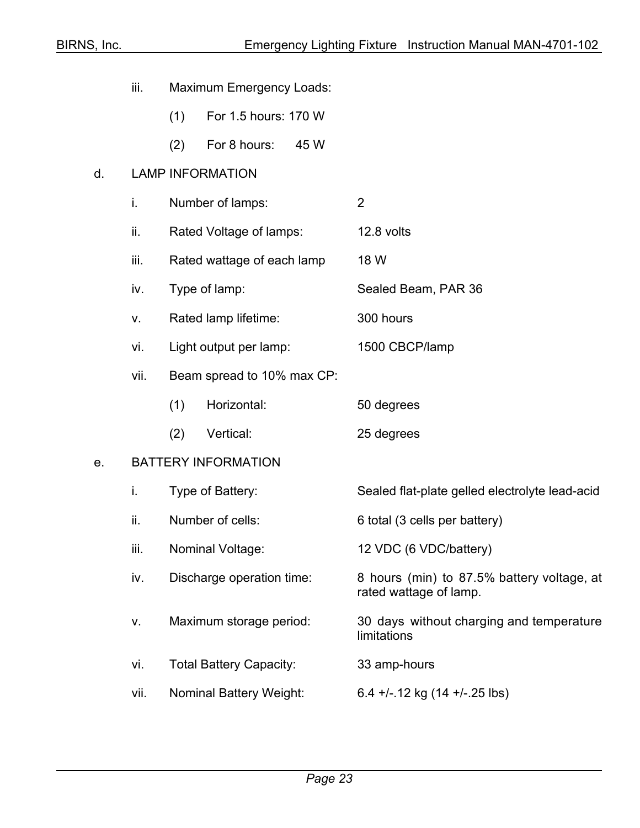|    | iii. | Maximum Emergency Loads:       |                                                                      |
|----|------|--------------------------------|----------------------------------------------------------------------|
|    |      | For 1.5 hours: 170 W<br>(1)    |                                                                      |
|    |      | (2)<br>For 8 hours:<br>45 W    |                                                                      |
| d. |      | <b>LAMP INFORMATION</b>        |                                                                      |
|    | i.   | Number of lamps:               | $\overline{2}$                                                       |
|    | ii.  | Rated Voltage of lamps:        | 12.8 volts                                                           |
|    | iii. | Rated wattage of each lamp     | 18 W                                                                 |
|    | iv.  | Type of lamp:                  | Sealed Beam, PAR 36                                                  |
|    | ٧.   | Rated lamp lifetime:           | 300 hours                                                            |
|    | vi.  | Light output per lamp:         | 1500 CBCP/lamp                                                       |
|    | vii. | Beam spread to 10% max CP:     |                                                                      |
|    |      | (1)<br>Horizontal:             | 50 degrees                                                           |
|    |      | (2)<br>Vertical:               | 25 degrees                                                           |
| е. |      | <b>BATTERY INFORMATION</b>     |                                                                      |
|    | i.   | Type of Battery:               | Sealed flat-plate gelled electrolyte lead-acid                       |
|    | ii.  | Number of cells:               | 6 total (3 cells per battery)                                        |
|    | iii. | Nominal Voltage:               | 12 VDC (6 VDC/battery)                                               |
|    | iv.  | Discharge operation time:      | 8 hours (min) to 87.5% battery voltage, at<br>rated wattage of lamp. |
|    | ٧.   | Maximum storage period:        | 30 days without charging and temperature<br>limitations              |
|    | vi.  | <b>Total Battery Capacity:</b> | 33 amp-hours                                                         |
|    | vii. | <b>Nominal Battery Weight:</b> | $6.4$ +/-.12 kg (14 +/-.25 lbs)                                      |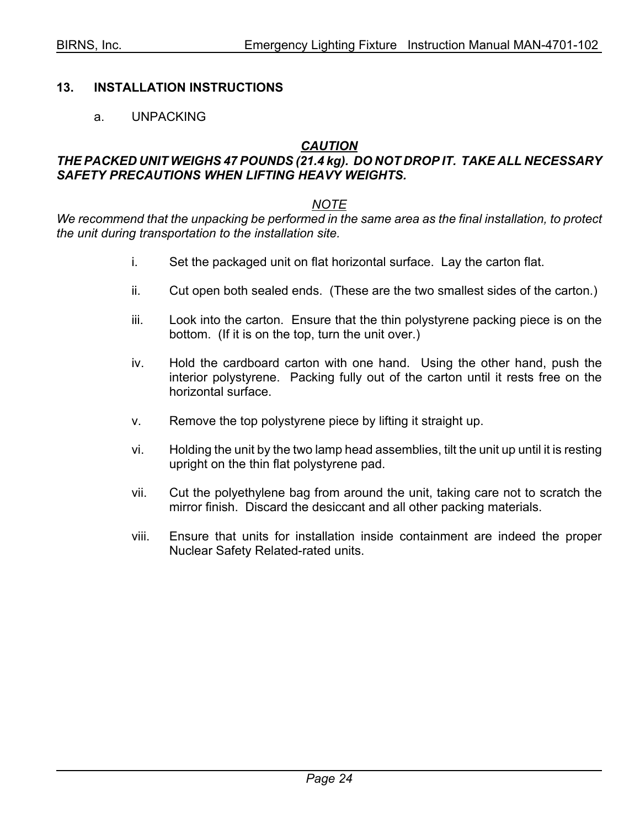#### **13. INSTALLATION INSTRUCTIONS**

a. UNPACKING

#### *CAUTION*

#### *THE PACKED UNIT WEIGHS 47 POUNDS (21.4 kg). DO NOT DROP IT. TAKE ALL NECESSARY SAFETY PRECAUTIONS WHEN LIFTING HEAVY WEIGHTS.*

#### *NOTE*

*We recommend that the unpacking be performed in the same area as the final installation, to protect the unit during transportation to the installation site.*

- i. Set the packaged unit on flat horizontal surface. Lay the carton flat.
- ii. Cut open both sealed ends. (These are the two smallest sides of the carton.)
- iii. Look into the carton. Ensure that the thin polystyrene packing piece is on the bottom. (If it is on the top, turn the unit over.)
- iv. Hold the cardboard carton with one hand. Using the other hand, push the interior polystyrene. Packing fully out of the carton until it rests free on the horizontal surface.
- v. Remove the top polystyrene piece by lifting it straight up.
- vi. Holding the unit by the two lamp head assemblies, tilt the unit up until it is resting upright on the thin flat polystyrene pad.
- vii. Cut the polyethylene bag from around the unit, taking care not to scratch the mirror finish. Discard the desiccant and all other packing materials.
- viii. Ensure that units for installation inside containment are indeed the proper Nuclear Safety Related-rated units.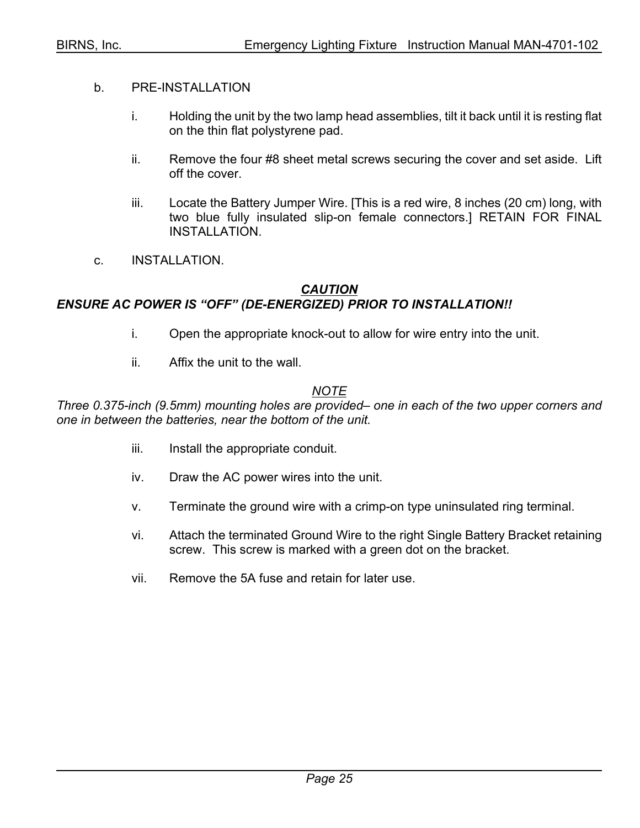#### b. PRE-INSTALLATION

- i. Holding the unit by the two lamp head assemblies, tilt it back until it is resting flat on the thin flat polystyrene pad.
- i. Remove the four #8 sheet metal screws securing the cover and set aside. Lift off the cover.
- iii. Locate the Battery Jumper Wire. [This is a red wire, 8 inches (20 cm) long, with two blue fully insulated slip-on female connectors.] RETAIN FOR FINAL INSTALLATION.
- c. INSTALLATION.

#### *CAUTION*

#### *ENSURE AC POWER IS "OFF" (DE-ENERGIZED) PRIOR TO INSTALLATION!!*

- i. Open the appropriate knock-out to allow for wire entry into the unit.
- ii. Affix the unit to the wall.

#### *NOTE*

*Three 0.375-inch (9.5mm) mounting holes are provided– one in each of the two upper corners and one in between the batteries, near the bottom of the unit.*

- iii. Install the appropriate conduit.
- iv. Draw the AC power wires into the unit.
- v. Terminate the ground wire with a crimp-on type uninsulated ring terminal.
- vi. Attach the terminated Ground Wire to the right Single Battery Bracket retaining screw. This screw is marked with a green dot on the bracket.
- vii. Remove the 5A fuse and retain for later use.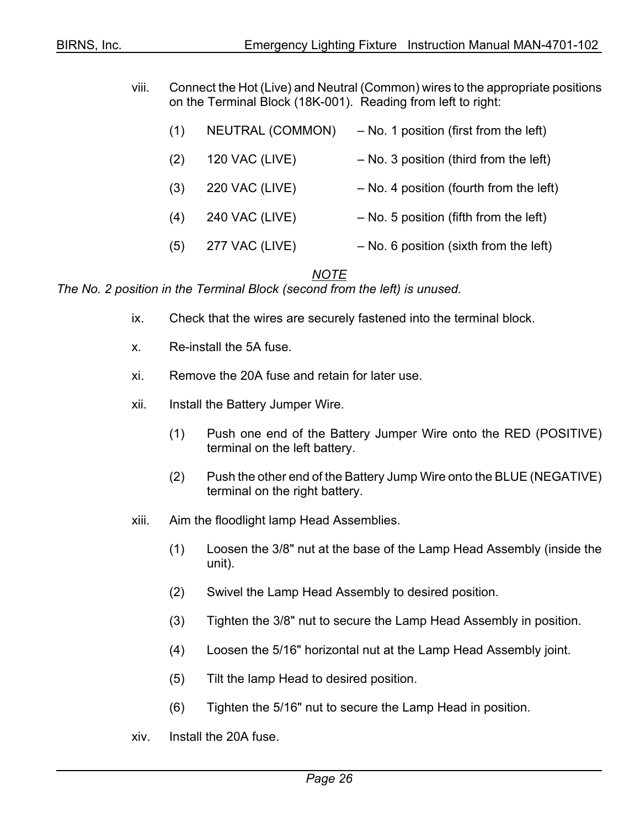- viii. Connect the Hot (Live) and Neutral (Common) wires to the appropriate positions on the Terminal Block (18K-001). Reading from left to right:
	- (1) NEUTRAL (COMMON) No. 1 position (first from the left)
	- (2) 120 VAC (LIVE) No. 3 position (third from the left)
	- $(3)$  220 VAC (LIVE) No. 4 position (fourth from the left)
	- (4) 240 VAC (LIVE) No. 5 position (fifth from the left)
	- (5) 277 VAC (LIVE) No. 6 position (sixth from the left)

*NOTE*

*The No. 2 position in the Terminal Block (second from the left) is unused*.

- ix. Check that the wires are securely fastened into the terminal block.
- x. Re-install the 5A fuse.
- xi. Remove the 20A fuse and retain for later use.
- xii. Install the Battery Jumper Wire.
	- (1) Push one end of the Battery Jumper Wire onto the RED (POSITIVE) terminal on the left battery.
	- (2) Push the other end of the Battery Jump Wire onto the BLUE (NEGATIVE) terminal on the right battery.
- xiii. Aim the floodlight lamp Head Assemblies.
	- (1) Loosen the 3/8" nut at the base of the Lamp Head Assembly (inside the unit).
	- (2) Swivel the Lamp Head Assembly to desired position.
	- (3) Tighten the 3/8" nut to secure the Lamp Head Assembly in position.
	- (4) Loosen the 5/16" horizontal nut at the Lamp Head Assembly joint.
	- (5) Tilt the lamp Head to desired position.
	- (6) Tighten the 5/16" nut to secure the Lamp Head in position.
- xiv. Install the 20A fuse.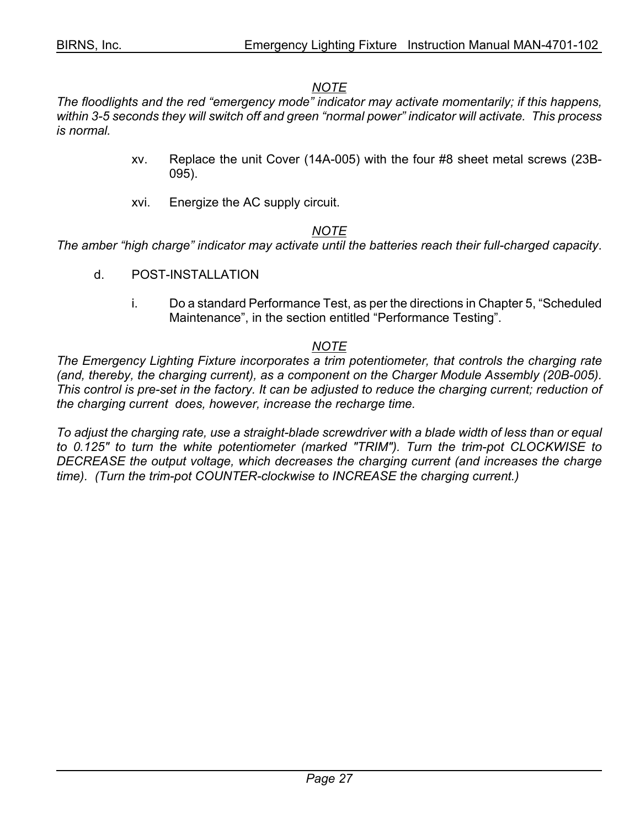#### *NOTE*

*The floodlights and the red "emergency mode" indicator may activate momentarily; if this happens, within 3-5 seconds they will switch off and green "normal power" indicator will activate. This process is normal.*

- xv. Replace the unit Cover (14A-005) with the four #8 sheet metal screws (23B-095).
- xvi. Energize the AC supply circuit.

#### *NOTE*

*The amber "high charge" indicator may activate until the batteries reach their full-charged capacity*.

- d. POST-INSTALLATION
	- i. Do a standard Performance Test, as per the directions in Chapter 5, "Scheduled Maintenance", in the section entitled "Performance Testing".

#### *NOTE*

*The Emergency Lighting Fixture incorporates a trim potentiometer, that controls the charging rate (and, thereby, the charging current), as a component on the Charger Module Assembly (20B-005). This control is pre-set in the factory. It can be adjusted to reduce the charging current; reduction of the charging current does, however, increase the recharge time.*

*To adjust the charging rate, use a straight-blade screwdriver with a blade width of less than or equal to 0.125" to turn the white potentiometer (marked "TRIM"). Turn the trim-pot CLOCKWISE to DECREASE the output voltage, which decreases the charging current (and increases the charge time). (Turn the trim-pot COUNTER-clockwise to INCREASE the charging current.)*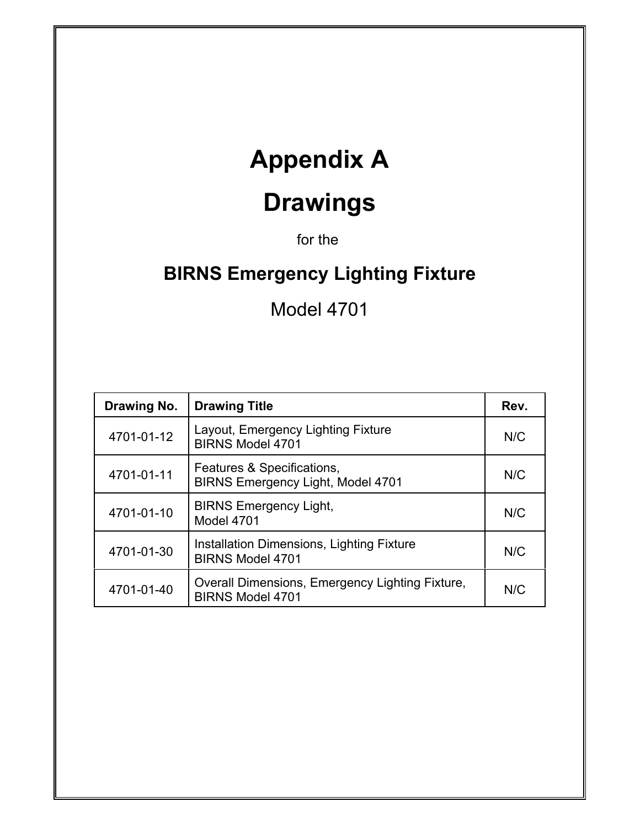### **Appendix A**

## **Drawings**

for the

### **BIRNS Emergency Lighting Fixture**

Model 4701

| Drawing No. | <b>Drawing Title</b>                                                       | Rev. |
|-------------|----------------------------------------------------------------------------|------|
| 4701-01-12  | Layout, Emergency Lighting Fixture<br><b>BIRNS Model 4701</b>              |      |
| 4701-01-11  | Features & Specifications,<br><b>BIRNS Emergency Light, Model 4701</b>     |      |
| 4701-01-10  | <b>BIRNS Emergency Light,</b><br>Model 4701                                |      |
| 4701-01-30  | Installation Dimensions, Lighting Fixture<br><b>BIRNS Model 4701</b>       | N/C  |
| 4701-01-40  | Overall Dimensions, Emergency Lighting Fixture,<br><b>BIRNS Model 4701</b> | N/C  |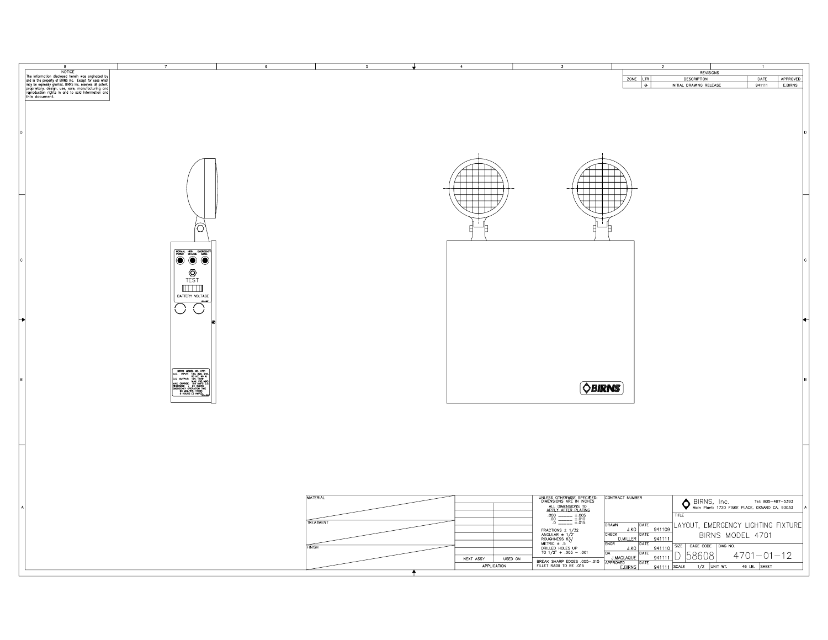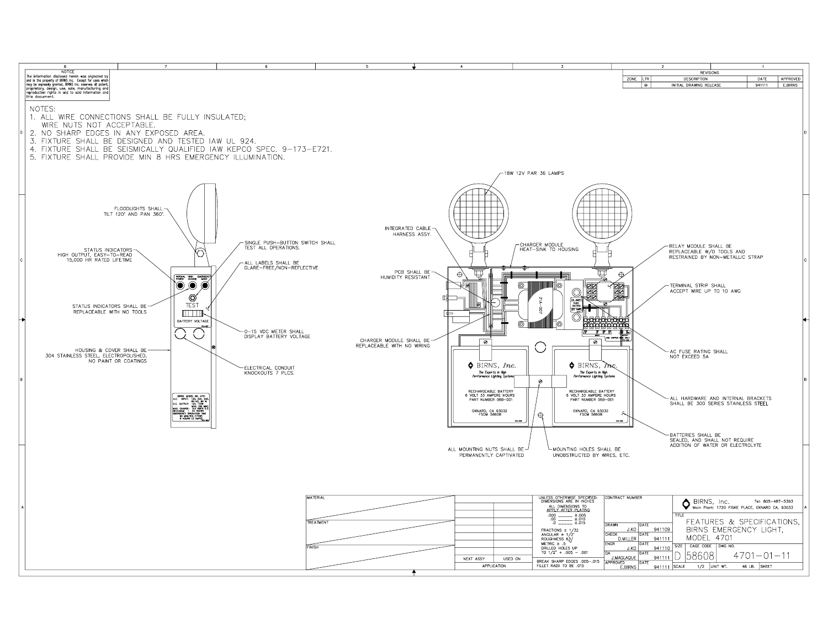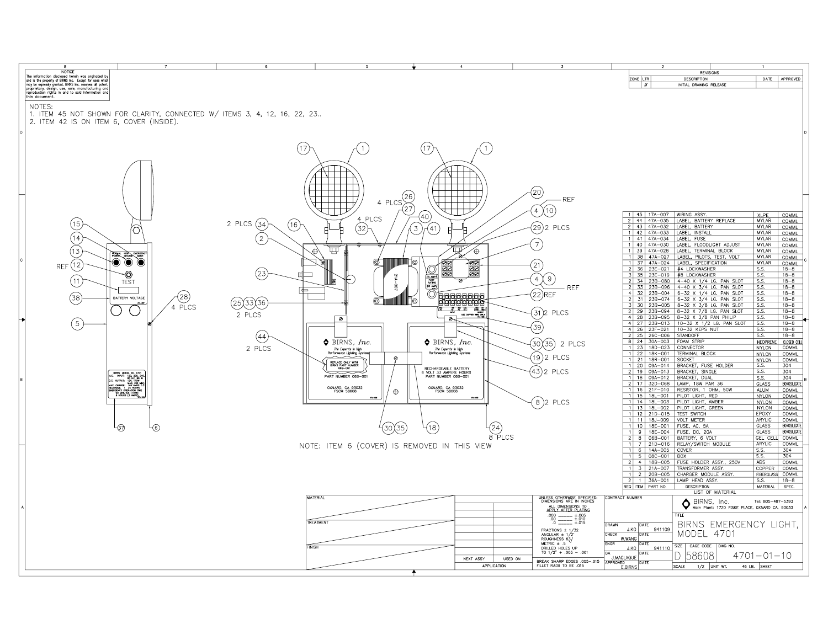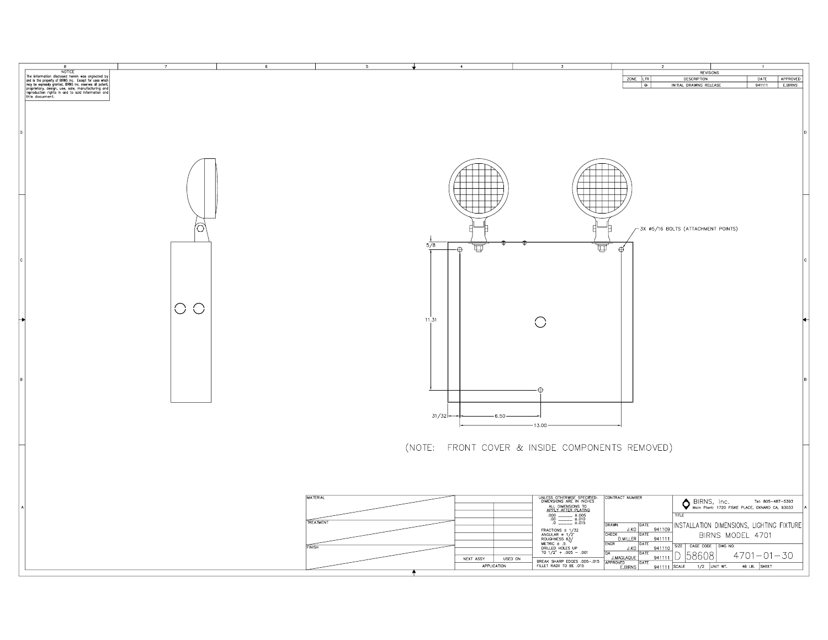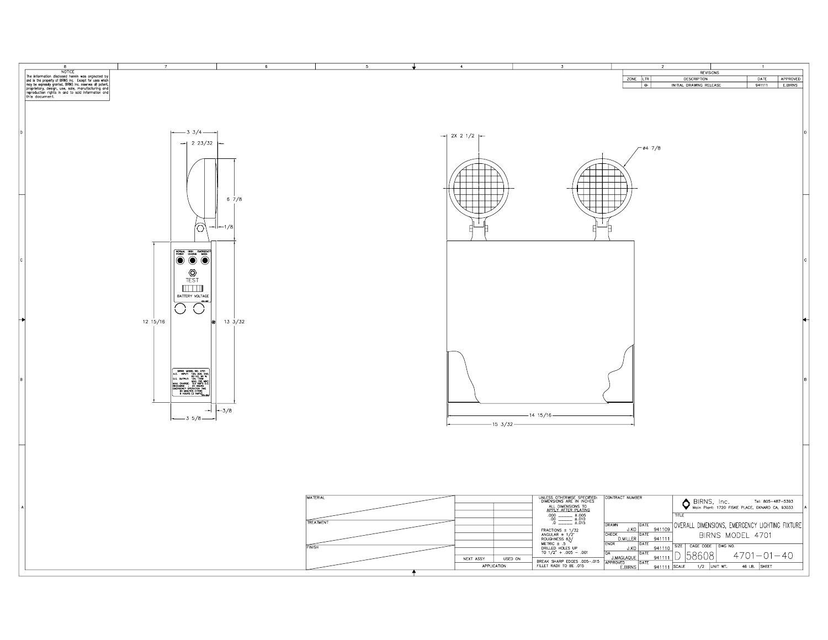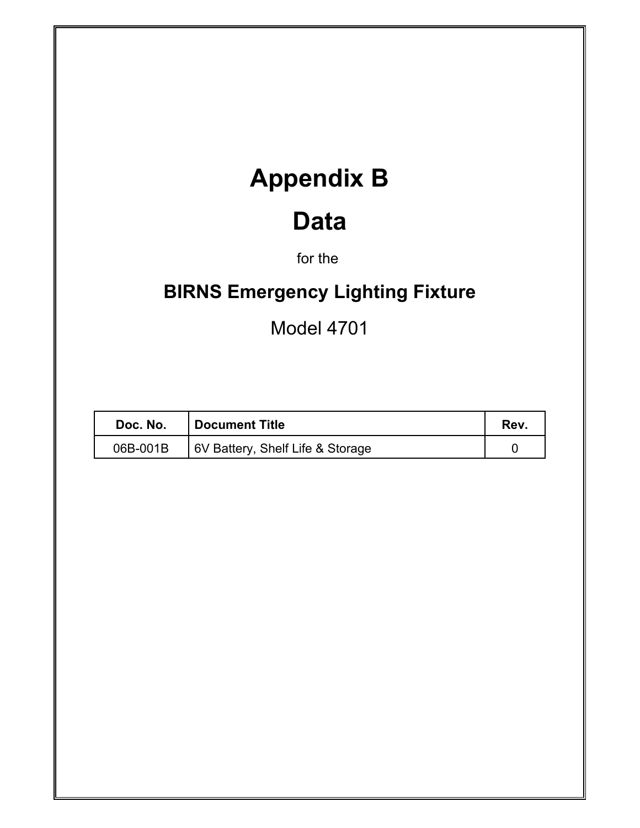# **Appendix B**

### **Data**

for the

### **BIRNS Emergency Lighting Fixture**

Model 4701

| Doc. No. | Document Title                   |  |
|----------|----------------------------------|--|
| 06B-001B | 6V Battery, Shelf Life & Storage |  |